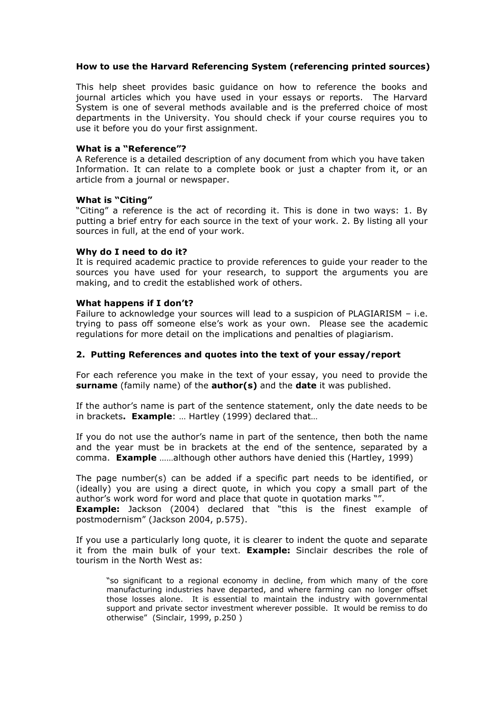## **How to use the Harvard Referencing System (referencing printed sources)**

This help sheet provides basic guidance on how to reference the books and journal articles which you have used in your essays or reports. The Harvard System is one of several methods available and is the preferred choice of most departments in the University. You should check if your course requires you to use it before you do your first assignment.

## **What is a "Reference"?**

A Reference is a detailed description of any document from which you have taken Information. It can relate to a complete book or just a chapter from it, or an article from a journal or newspaper.

## **What is "Citing"**

"Citing" a reference is the act of recording it. This is done in two ways: 1. By putting a brief entry for each source in the text of your work. 2. By listing all your sources in full, at the end of your work.

## **Why do I need to do it?**

It is required academic practice to provide references to guide your reader to the sources you have used for your research, to support the arguments you are making, and to credit the established work of others.

## **What happens if I don't?**

Failure to acknowledge your sources will lead to a suspicion of PLAGIARISM – i.e. trying to pass off someone else's work as your own. Please see the academic regulations for more detail on the implications and penalties of plagiarism.

## **2. Putting References and quotes into the text of your essay/report**

For each reference you make in the text of your essay, you need to provide the **surname** (family name) of the **author(s)** and the **date** it was published.

If the author's name is part of the sentence statement, only the date needs to be in brackets**. Example**: … Hartley (1999) declared that…

If you do not use the author's name in part of the sentence, then both the name and the year must be in brackets at the end of the sentence, separated by a comma. **Example** ……although other authors have denied this (Hartley, 1999)

The page number(s) can be added if a specific part needs to be identified, or (ideally) you are using a direct quote, in which you copy a small part of the author's work word for word and place that quote in quotation marks "".

**Example:** Jackson (2004) declared that "this is the finest example of postmodernism" (Jackson 2004, p.575).

If you use a particularly long quote, it is clearer to indent the quote and separate it from the main bulk of your text. **Example:** Sinclair describes the role of tourism in the North West as:

"so significant to a regional economy in decline, from which many of the core manufacturing industries have departed, and where farming can no longer offset those losses alone. It is essential to maintain the industry with governmental support and private sector investment wherever possible. It would be remiss to do otherwise" (Sinclair, 1999, p.250 )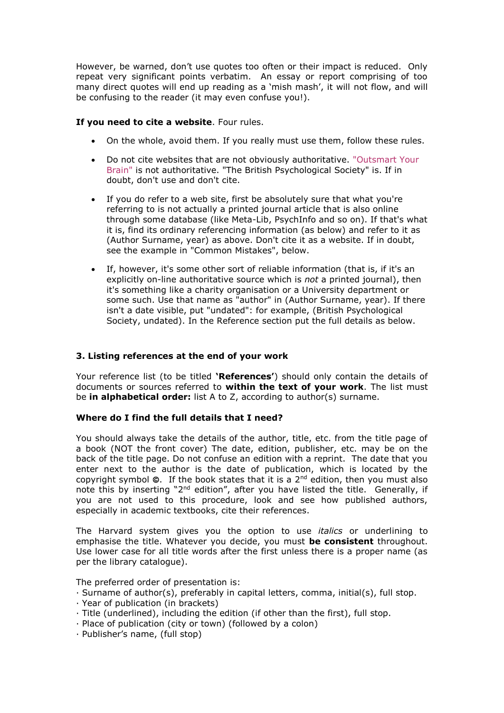However, be warned, don't use quotes too often or their impact is reduced. Only repeat very significant points verbatim. An essay or report comprising of too many direct quotes will end up reading as a 'mish mash', it will not flow, and will be confusing to the reader (it may even confuse you!).

## **If you need to cite a website**. Four rules.

- On the whole, avoid them. If you really must use them, follow these rules.
- Do not cite websites that are not obviously authoritative. ["Outsmart Your](http://www.outsmartyourbrain.com/content/category/6/84/56/)  [Brain"](http://www.outsmartyourbrain.com/content/category/6/84/56/) is not authoritative. "The British Psychological Society" is. If in doubt, don't use and don't cite.
- If you do refer to a web site, first be absolutely sure that what you're referring to is not actually a printed journal article that is also online through some database (like Meta-Lib, PsychInfo and so on). If that's what it is, find its ordinary referencing information (as below) and refer to it as (Author Surname, year) as above. Don't cite it as a website. If in doubt, see the example in "Common Mistakes", below.
- If, however, it's some other sort of reliable information (that is, if it's an explicitly on-line authoritative source which is *not* a printed journal), then it's something like a charity organisation or a University department or some such. Use that name as "author" in (Author Surname, year). If there isn't a date visible, put "undated": for example, (British Psychological Society, undated). In the Reference section put the full details as below.

## **3. Listing references at the end of your work**

Your reference list (to be titled **'References'**) should only contain the details of documents or sources referred to **within the text of your work**. The list must be **in alphabetical order:** list A to Z, according to author(s) surname.

## **Where do I find the full details that I need?**

You should always take the details of the author, title, etc. from the title page of a book (NOT the front cover) The date, edition, publisher, etc. may be on the back of the title page. Do not confuse an edition with a reprint. The date that you enter next to the author is the date of publication, which is located by the copyright symbol  $\odot$ . If the book states that it is a  $2^{nd}$  edition, then you must also note this by inserting "2<sup>nd</sup> edition", after you have listed the title. Generally, if you are not used to this procedure, look and see how published authors, especially in academic textbooks, cite their references.

The Harvard system gives you the option to use *italics* or underlining to emphasise the title. Whatever you decide, you must **be consistent** throughout. Use lower case for all title words after the first unless there is a proper name (as per the library catalogue).

The preferred order of presentation is:

- · Surname of author(s), preferably in capital letters, comma, initial(s), full stop.
- · Year of publication (in brackets)
- · Title (underlined), including the edition (if other than the first), full stop.
- · Place of publication (city or town) (followed by a colon)
- · Publisher's name, (full stop)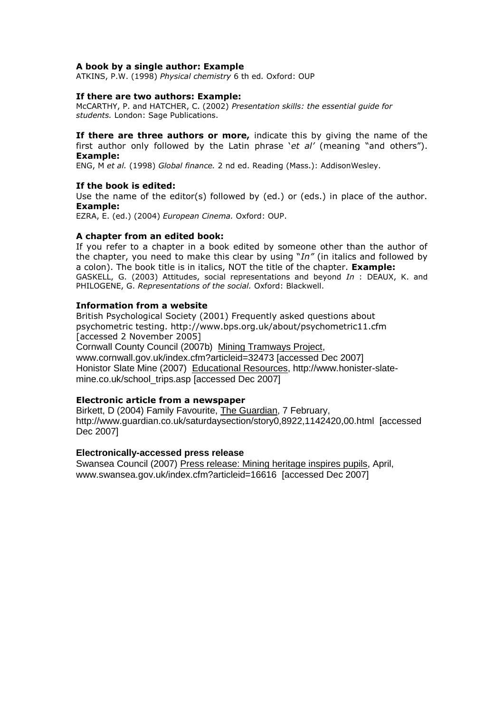## **A book by a single author: Example**

ATKINS, P.W. (1998) *Physical chemistry* 6 th ed*.* Oxford: OUP

#### **If there are two authors: Example:**

McCARTHY, P. and HATCHER, C. (2002) *Presentation skills: the essential guide for students.* London: Sage Publications.

**If there are three authors or more,** indicate this by giving the name of the first author only followed by the Latin phrase '*et al'* (meaning "and others"). **Example:**

ENG, M *et al.* (1998) *Global finance.* 2 nd ed. Reading (Mass.): AddisonWesley.

#### **If the book is edited:**

Use the name of the editor(s) followed by (ed.) or (eds.) in place of the author. **Example:**

EZRA, E. (ed.) (2004) *European Cinema.* Oxford: OUP.

#### **A chapter from an edited book:**

If you refer to a chapter in a book edited by someone other than the author of the chapter, you need to make this clear by using "*In"* (in italics and followed by a colon). The book title is in italics, NOT the title of the chapter. **Example:** GASKELL, G. (2003) Attitudes, social representations and beyond *In* : DEAUX, K. and PHILOGENE, G. *Representations of the social.* Oxford: Blackwell.

## **Information from a website**

British Psychological Society (2001) Frequently asked questions about psychometric testing. http://www.bps.org.uk/about/psychometric11.cfm [accessed 2 November 2005] Cornwall County Council (2007b) Mining Tramways Project, [www.cornwall.gov.uk/index.cfm?articleid=32473](http://www.cornwall.gov.uk/index.cfm?articleid=32473) [accessed Dec 2007] Honistor Slate Mine (2007) Educational Resources, [http://www.honister-slate](http://www.honister-slate-mine.co.uk/school_trips.asp)[mine.co.uk/school\\_trips.asp](http://www.honister-slate-mine.co.uk/school_trips.asp) [accessed Dec 2007]

#### **Electronic article from a newspaper**

Birkett, D (2004) Family Favourite, The Guardian, 7 February, <http://www.guardian.co.uk/saturdaysection/story0,8922,1142420,00.html>[accessed Dec 2007]

#### **Electronically-accessed press release**

Swansea Council (2007) Press release: Mining heritage inspires pupils, April, [www.swansea.gov.uk/index.cfm?articleid=16616](http://www.swansea.gov.uk/index.cfm?articleid=16616) [accessed Dec 2007]